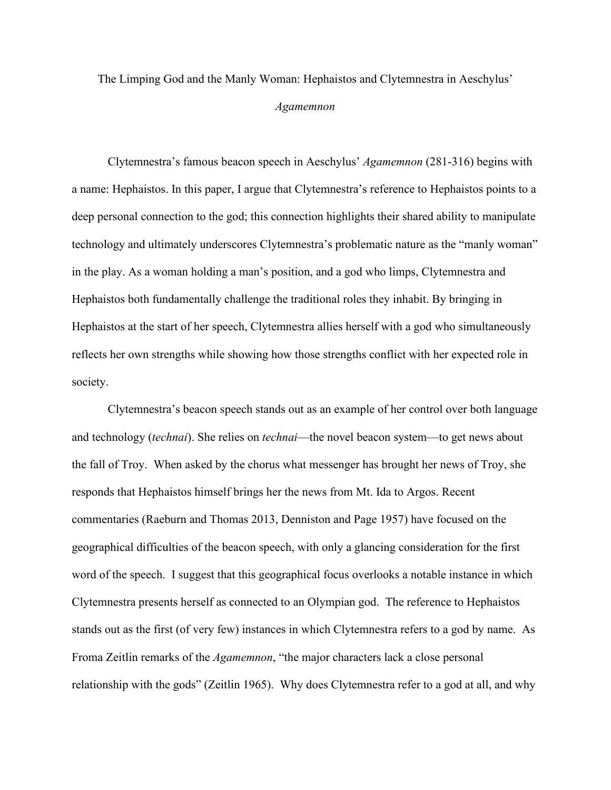## The Limping God and the Manly Woman: Hephaistos and Clytemnestra in Aeschylus' *Agamemnon*

Clytemnestra's famous beacon speech in Aeschylus' *Agamemnon* (281-316) begins with a name: Hephaistos. In this paper, I argue that Clytemnestra's reference to Hephaistos points to a deep personal connection to the god; this connection highlights their shared ability to manipulate technology and ultimately underscores Clytemnestra's problematic nature as the "manly woman" in the play. As a woman holding a man's position, and a god who limps, Clytemnestra and Hephaistos both fundamentally challenge the traditional roles they inhabit. By bringing in Hephaistos at the start of her speech, Clytemnestra allies herself with a god who simultaneously reflects her own strengths while showing how those strengths conflict with her expected role in society.

Clytemnestra's beacon speech stands out as an example of her control over both language and technology (*technai*). She relies on *technai*—the novel beacon system—to get news about the fall of Troy. When asked by the chorus what messenger has brought her news of Troy, she responds that Hephaistos himself brings her the news from Mt. Ida to Argos. Recent commentaries (Raeburn and Thomas 2013, Denniston and Page 1957) have focused on the geographical difficulties of the beacon speech, with only a glancing consideration for the first word of the speech. I suggest that this geographical focus overlooks a notable instance in which Clytemnestra presents herself as connected to an Olympian god. The reference to Hephaistos stands out as the first (of very few) instances in which Clytemnestra refers to a god by name. As Froma Zeitlin remarks of the *Agamemnon*, "the major characters lack a close personal relationship with the gods" (Zeitlin 1965). Why does Clytemnestra refer to a god at all, and why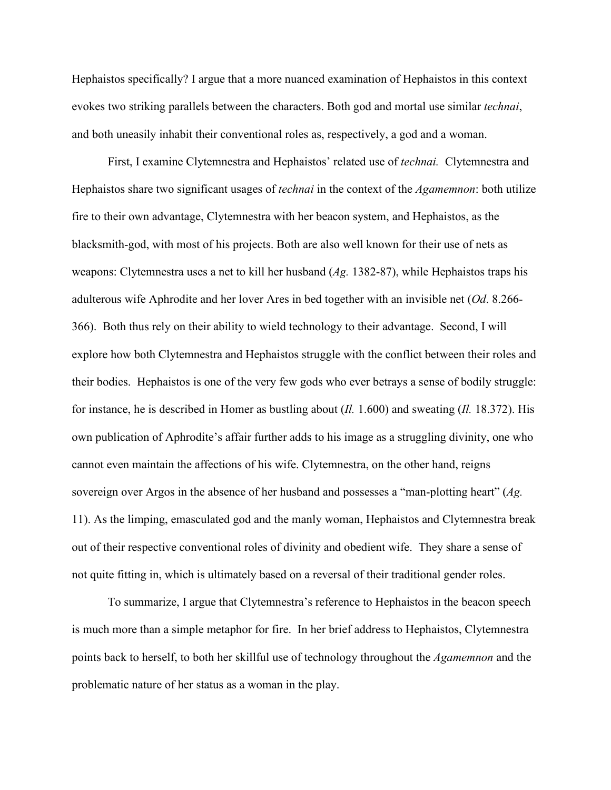Hephaistos specifically? I argue that a more nuanced examination of Hephaistos in this context evokes two striking parallels between the characters. Both god and mortal use similar *technai*, and both uneasily inhabit their conventional roles as, respectively, a god and a woman.

First, I examine Clytemnestra and Hephaistos' related use of *technai.* Clytemnestra and Hephaistos share two significant usages of *technai* in the context of the *Agamemnon*: both utilize fire to their own advantage, Clytemnestra with her beacon system, and Hephaistos, as the blacksmith-god, with most of his projects. Both are also well known for their use of nets as weapons: Clytemnestra uses a net to kill her husband (*Ag.* 1382-87), while Hephaistos traps his adulterous wife Aphrodite and her lover Ares in bed together with an invisible net (*Od*. 8.266- 366). Both thus rely on their ability to wield technology to their advantage. Second, I will explore how both Clytemnestra and Hephaistos struggle with the conflict between their roles and their bodies. Hephaistos is one of the very few gods who ever betrays a sense of bodily struggle: for instance, he is described in Homer as bustling about (*Il.* 1.600) and sweating (*Il.* 18.372). His own publication of Aphrodite's affair further adds to his image as a struggling divinity, one who cannot even maintain the affections of his wife. Clytemnestra, on the other hand, reigns sovereign over Argos in the absence of her husband and possesses a "man-plotting heart" (*Ag.*  11). As the limping, emasculated god and the manly woman, Hephaistos and Clytemnestra break out of their respective conventional roles of divinity and obedient wife. They share a sense of not quite fitting in, which is ultimately based on a reversal of their traditional gender roles.

To summarize, I argue that Clytemnestra's reference to Hephaistos in the beacon speech is much more than a simple metaphor for fire. In her brief address to Hephaistos, Clytemnestra points back to herself, to both her skillful use of technology throughout the *Agamemnon* and the problematic nature of her status as a woman in the play.